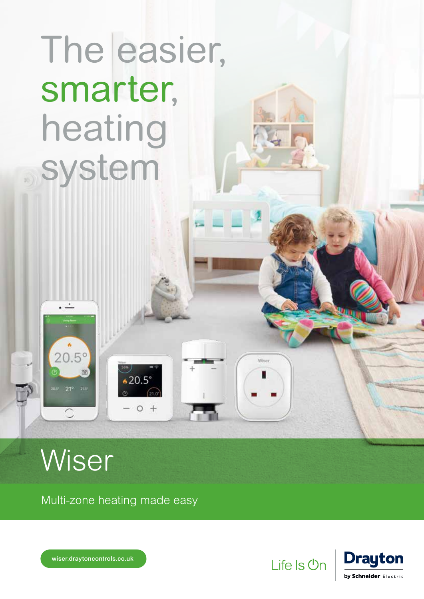## The easier, smarter, heating system

## **Wiser**

. <u>.</u>

 $20.5^{\circ}$ 

簡

Multi-zone heating made easy

 $*20.5$ 

 $O +$ 



**Wisse** 



wiser.draytoncontrols.co.uk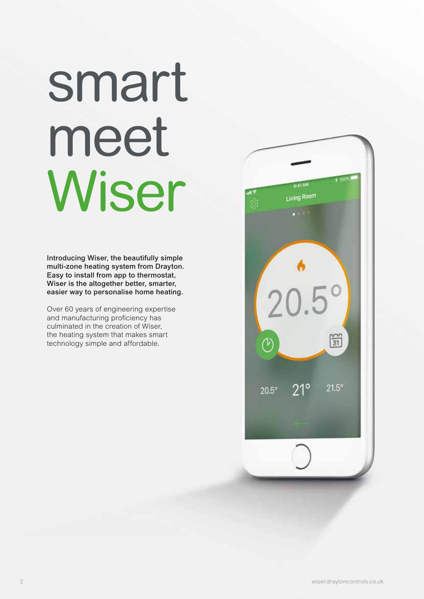# smart meet Wiser

Introducing Wiser, the beautifully simple multi-zone heating system from Drayton. Easy to install from app to thermostat, Wiser is the altogether better, smarter, easier way to personalise home heating.

Over 60 years of engineering expertise and manufacturing proficiency has culminated in the creation of Wiser, the heating system that makes smart technology simple and affordable.

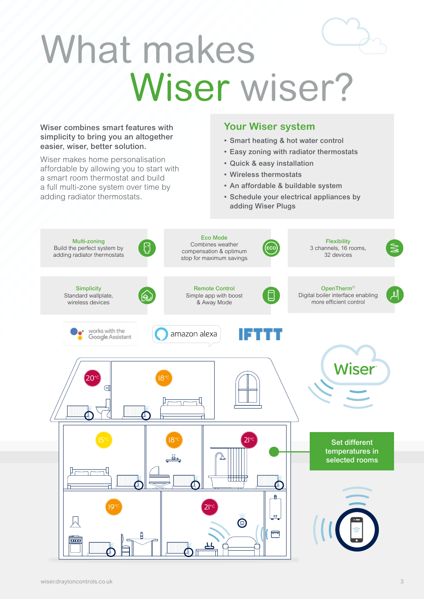## What makes Wiser wiser?

#### Wiser combines smart features with simplicity to bring you an altogether easier, wiser, better solution.

Wiser makes home personalisation affordable by allowing you to start with a smart room thermostat and build a full multi-zone system over time by adding radiator thermostats.

#### **Your Wiser system**

- Smart heating & hot water control
- Easy zoning with radiator thermostats
- Quick & easy installation
- Wireless thermostats
- An affordable & buildable system
- Schedule your electrical appliances by adding Wiser Plugs

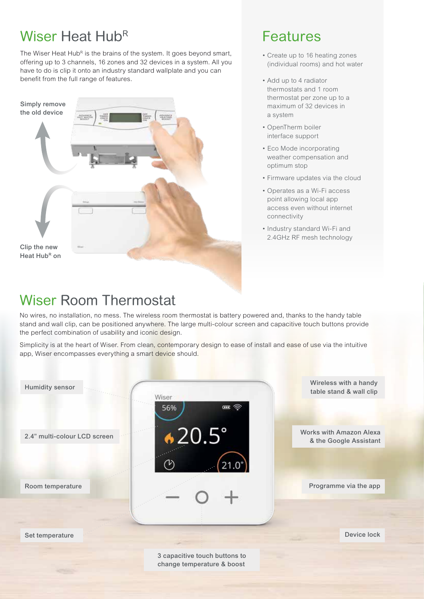## Wiser Heat Hub<sup>R</sup>

The Wiser Heat Hub<sup>R</sup> is the brains of the system. It goes beyond smart, offering up to 3 channels, 16 zones and 32 devices in a system. All you have to do is clip it onto an industry standard wallplate and you can benefit from the full range of features.



### Features

- Create up to 16 heating zones (individual rooms) and hot water
- Add up to 4 radiator thermostats and 1 room thermostat per zone up to a maximum of 32 devices in a system
- OpenTherm boiler interface support
- Eco Mode incorporating weather compensation and optimum stop
- Firmware updates via the cloud
- Operates as a Wi-Fi access point allowing local app access even without internet connectivity
- Industry standard Wi-Fi and 2.4GHz RF mesh technology

## Wiser Room Thermostat

No wires, no installation, no mess. The wireless room thermostat is battery powered and, thanks to the handy table stand and wall clip, can be positioned anywhere. The large multi-colour screen and capacitive touch buttons provide the perfect combination of usability and iconic design.

Simplicity is at the heart of Wiser. From clean, contemporary design to ease of install and ease of use via the intuitive app, Wiser encompasses everything a smart device should.



change temperature & boost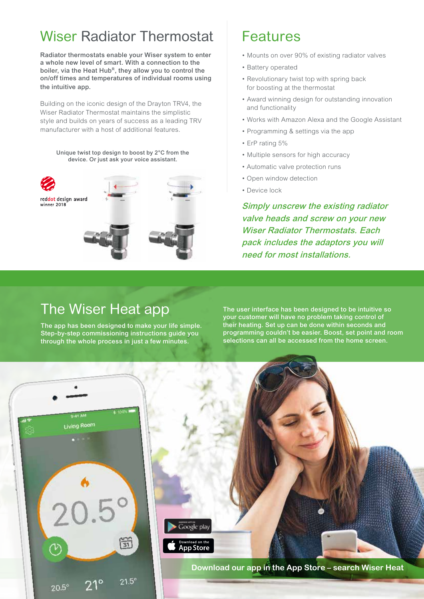## Wiser Radiator Thermostat

Radiator thermostats enable your Wiser system to enter a whole new level of smart. With a connection to the boiler, via the Heat Hub<sup>R</sup>, they allow you to control the on/off times and temperatures of individual rooms using the intuitive app.

Building on the iconic design of the Drayton TRV4, the Wiser Radiator Thermostat maintains the simplistic style and builds on years of success as a leading TRV manufacturer with a host of additional features.

Unique twist top design to boost by 2°C from the device. Or just ask your voice assistant.



## Features

- Mounts on over 90% of existing radiator valves
- Battery operated
- Revolutionary twist top with spring back for boosting at the thermostat
- Award winning design for outstanding innovation and functionality
- Works with Amazon Alexa and the Google Assistant
- Programming & settings via the app
- ErP rating 5%
- Multiple sensors for high accuracy
- Automatic valve protection runs
- Open window detection
- Device lock

Simply unscrew the existing radiator valve heads and screw on your new Wiser Radiator Thermostats. Each pack includes the adaptors you will need for most installations.

### The Wiser Heat app

The app has been designed to make your life simple. Step-by-step commissioning instructions guide you through the whole process in just a few minutes.

The user interface has been designed to be intuitive so your customer will have no problem taking control of their heating. Set up can be done within seconds and programming couldn't be easier. Boost, set point and room selections can all be accessed from the home screen.

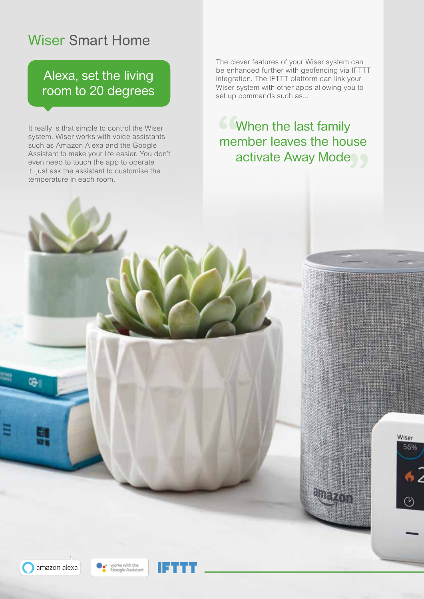## Wiser Smart Home

### Alexa, set the living room to 20 degrees

It really is that simple to control the Wiser system. Wiser works with voice assistants such as Amazon Alexa and the Google Assistant to make your life easier. You don't even need to touch the app to operate it, just ask the assistant to customise the temperature in each room.

The clever features of your Wiser system can be enhanced further with geofencing via IFTTT integration. The IFTTT platform can link your Wiser system with other apps allowing you to set up commands such as...

**6 When the last family** member leaves the house activate Away Mode

> Wiser 56%



œ,



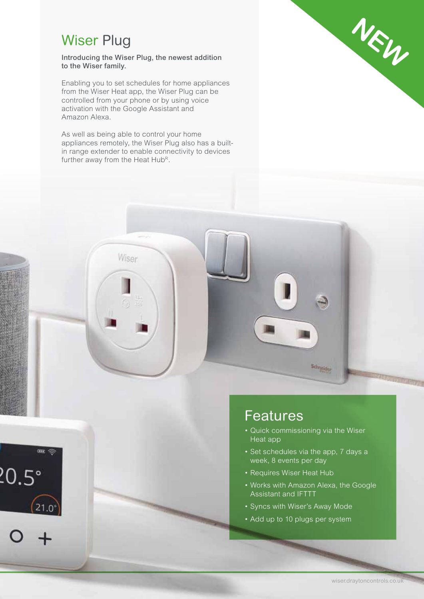## Wiser Plug

Introducing the Wiser Plug, the newest addition to the Wiser family.

Enabling you to set schedules for home appliances from the Wiser Heat app, the Wiser Plug can be controlled from your phone or by using voice activation with the Google Assistant and Amazon Alexa.

As well as being able to control your home appliances remotely, the Wiser Plug also has a builtin range extender to enable connectivity to devices further away from the Heat Hub<sup>R</sup>.

Wiser

 $-$ 

 $21.0^{\circ}$ 

 $20.5^\circ$ 



### Features

• Quick commissioning via the Wiser Heat app

Schneider

- Set schedules via the app, 7 days a week, 8 events per day
- Requires Wiser Heat Hub
- Works with Amazon Alexa, the Google Assistant and IFTTT
- Syncs with Wiser's Away Mode
- Add up to 10 plugs per system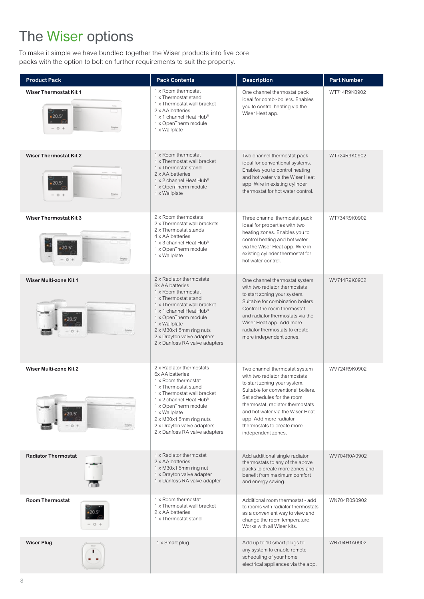## The Wiser options

To make it simple we have bundled together the Wiser products into five core packs with the option to bolt on further requirements to suit the property.

| <b>Product Pack</b>                             | <b>Pack Contents</b>                                                                                                                                                                                                                                                                                        | <b>Description</b>                                                                                                                                                                                                                                                                                                       | <b>Part Number</b> |
|-------------------------------------------------|-------------------------------------------------------------------------------------------------------------------------------------------------------------------------------------------------------------------------------------------------------------------------------------------------------------|--------------------------------------------------------------------------------------------------------------------------------------------------------------------------------------------------------------------------------------------------------------------------------------------------------------------------|--------------------|
| <b>Wiser Thermostat Kit 1</b><br>$20.5^*$       | 1 x Room thermostat<br>1 x Thermostat stand<br>1 x Thermostat wall bracket<br>2 x AA batteries<br>1 x 1 channel Heat Hub <sup>R</sup><br>1 x OpenTherm module<br>1 x Wallplate                                                                                                                              | One channel thermostat pack<br>ideal for combi-boilers. Enables<br>you to control heating via the<br>Wiser Heat app.                                                                                                                                                                                                     | WT714R9K0902       |
| <b>Wiser Thermostat Kit 2</b>                   | 1 x Room thermostat<br>1 x Thermostat wall bracket<br>1 x Thermostat stand<br>2 x AA batteries<br>1 x 2 channel Heat Hub <sup>R</sup><br>1 x OpenTherm module<br>1 x Wallplate                                                                                                                              | Two channel thermostat pack<br>ideal for conventional systems.<br>Enables you to control heating<br>and hot water via the Wiser Heat<br>app. Wire in existing cylinder<br>thermostat for hot water control.                                                                                                              | WT724R9K0902       |
| <b>Wiser Thermostat Kit 3</b>                   | 2 x Room thermostats<br>2 x Thermostat wall brackets<br>2 x Thermostat stands<br>4 x AA batteries<br>1 x 3 channel Heat Hub <sup>R</sup><br>1 x OpenTherm module<br>1 x Wallplate                                                                                                                           | Three channel thermostat pack<br>ideal for properties with two<br>heating zones. Enables you to<br>control heating and hot water<br>via the Wiser Heat app. Wire in<br>existing cylinder thermostat for<br>hot water control.                                                                                            | WT734R9K0902       |
| <b>Wiser Multi-zone Kit 1</b><br>20.5           | 2 x Radiator thermostats<br>6x AA batteries<br>1 x Room thermostat<br>1 x Thermostat stand<br>1 x Thermostat wall bracket<br>1 x 1 channel Heat Hub <sup>R</sup><br>1 x OpenTherm module<br>1 x Wallplate<br>$2 \times M30x1.5$ mm ring nuts<br>2 x Drayton valve adapters<br>2 x Danfoss RA valve adapters | One channel thermostat system<br>with two radiator thermostats<br>to start zoning your system.<br>Suitable for combination boilers.<br>Control the room thermostat<br>and radiator thermostats via the<br>Wiser Heat app. Add more<br>radiator thermostats to create<br>more independent zones.                          | WV714R9K0902       |
| <b>Wiser Multi-zone Kit 2</b><br>$20.5^{\circ}$ | 2 x Radiator thermostats<br>6x AA batteries<br>1 x Room thermostat<br>1 x Thermostat stand<br>1 x Thermostat wall bracket<br>1 x 2 channel Heat Hub <sup>R</sup><br>1 x OpenTherm module<br>1 x Wallplate<br>2 x M30x1.5mm ring nuts<br>2 x Drayton valve adapters<br>2 x Danfoss RA valve adapters         | Two channel thermostat system<br>with two radiator thermostats<br>to start zoning your system.<br>Suitable for conventional boilers.<br>Set schedules for the room<br>thermostat, radiator thermostats<br>and hot water via the Wiser Heat<br>app. Add more radiator<br>thermostats to create more<br>independent zones. | WV724R9K0902       |
| <b>Radiator Thermostat</b>                      | 1 x Radiator thermostat<br>2 x AA batteries<br>$1 \times M30 \times 1.5$ mm ring nut<br>1 x Drayton valve adapter<br>1 x Danfoss RA valve adapter                                                                                                                                                           | Add additional single radiator<br>thermostats to any of the above<br>packs to create more zones and<br>benefit from maximum comfort<br>and energy saving.                                                                                                                                                                | WV704R0A0902       |
| <b>Room Thermostat</b>                          | 1 x Room thermostat<br>1 x Thermostat wall bracket<br>2 x AA batteries<br>1 x Thermostat stand                                                                                                                                                                                                              | Additional room thermostat - add<br>to rooms with radiator thermostats<br>as a convenient way to view and<br>change the room temperature.<br>Works with all Wiser kits.                                                                                                                                                  | WN704R0S0902       |
| <b>Wiser Plug</b>                               | 1 x Smart plug                                                                                                                                                                                                                                                                                              | Add up to 10 smart plugs to<br>any system to enable remote<br>scheduling of your home<br>electrical appliances via the app.                                                                                                                                                                                              | WB704H1A0902       |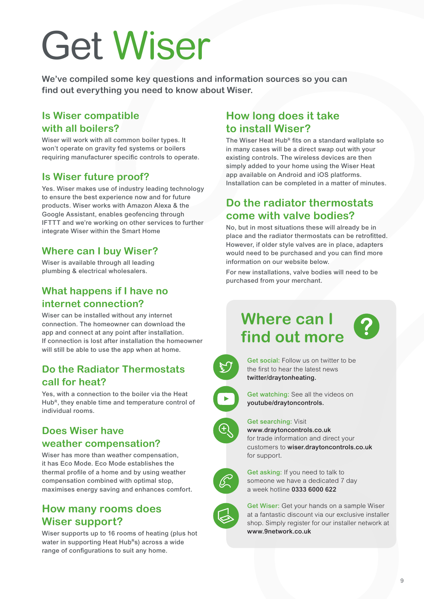# Get Wiser

**We've compiled some key questions and information sources so you can find out everything you need to know about Wiser.** 

#### **Is Wiser compatible with all boilers?**

Wiser will work with all common boiler types. It won't operate on gravity fed systems or boilers requiring manufacturer specific controls to operate.

#### **Is Wiser future proof?**

Yes. Wiser makes use of industry leading technology to ensure the best experience now and for future products. Wiser works with Amazon Alexa & the Google Assistant, enables geofencing through IFTTT and we're working on other services to further integrate Wiser within the Smart Home

#### **Where can I buy Wiser?**

Wiser is available through all leading plumbing & electrical wholesalers.

#### **What happens if I have no internet connection?**

Wiser can be installed without any internet connection. The homeowner can download the app and connect at any point after installation. If connection is lost after installation the homeowner will still be able to use the app when at home.

#### **Do the Radiator Thermostats call for heat?**

Yes, with a connection to the boiler via the Heat Hub<sup>R</sup>, they enable time and temperature control of individual rooms.

#### **Does Wiser have weather compensation?**

Wiser has more than weather compensation, it has Eco Mode. Eco Mode establishes the thermal profile of a home and by using weather compensation combined with optimal stop, maximises energy saving and enhances comfort.

#### **How many rooms does Wiser support?**

Wiser supports up to 16 rooms of heating (plus hot water in supporting Heat HubRs) across a wide range of configurations to suit any home.

#### **How long does it take to install Wiser?**

The Wiser Heat Hub<sup>R</sup> fits on a standard wallplate so in many cases will be a direct swap out with your existing controls. The wireless devices are then simply added to your home using the Wiser Heat app available on Android and iOS platforms. Installation can be completed in a matter of minutes.

#### **Do the radiator thermostats come with valve bodies?**

No, but in most situations these will already be in place and the radiator thermostats can be retrofitted. However, if older style valves are in place, adapters would need to be purchased and you can find more information on our website below.

For new installations, valve bodies will need to be purchased from your merchant.

## **Where can I find out more**



Get social: Follow us on twitter to be the first to hear the latest news twitter/draytonheating.



Get watching: See all the videos on youtube/draytoncontrols.

#### Get searching: Visit



www.draytoncontrols.co.uk for trade information and direct your customers to wiser.draytoncontrols.co.uk for support.



Get asking: If you need to talk to someone we have a dedicated 7 day a week hotline 0333 6000 622



Get Wiser: Get your hands on a sample Wiser at a fantastic discount via our exclusive installer shop. Simply register for our installer network at www.9network.co.uk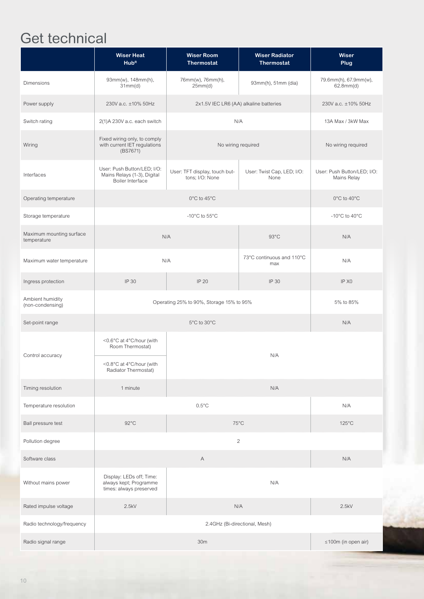## Get technical

|                                         | <b>Wiser Heat</b><br>Hub <sup>R</sup>                                                            | <b>Wiser Room</b><br><b>Thermostat</b>           | <b>Wiser Radiator</b><br><b>Thermostat</b> | Wiser<br>Plug                              |
|-----------------------------------------|--------------------------------------------------------------------------------------------------|--------------------------------------------------|--------------------------------------------|--------------------------------------------|
| <b>Dimensions</b>                       | 93mm(w), 148mm(h),<br>31mm(d)                                                                    | 76mm(w), 76mm(h),<br>25mm(d)                     | 93mm(h), 51mm (dia)                        | 79.6mm(h), 67.9mm(w),<br>62.8mm(d)         |
| Power supply                            | 230V a.c. ±10% 50Hz<br>2x1.5V IEC LR6 (AA) alkaline batteries                                    |                                                  | 230V a.c. ±10% 50Hz                        |                                            |
| Switch rating                           | 2(1)A 230V a.c. each switch                                                                      |                                                  | N/A                                        | 13A Max / 3kW Max                          |
| Wiring                                  | Fixed wiring only, to comply<br>with current IET regulations<br>No wiring required<br>(BS7671)   |                                                  | No wiring required                         |                                            |
| Interfaces                              | User: Push Button/LED; I/O:<br>Mains Relays (1-3), Digital<br>Boiler Interface                   | User: TFT display, touch but-<br>tons; I/O: None | User: Twist Cap, LED; I/O:<br>None         | User: Push Button/LED; I/O:<br>Mains Relay |
| Operating temperature                   | 0°C to 45°C                                                                                      |                                                  |                                            | 0°C to 40°C                                |
| Storage temperature                     | -10 $^{\circ}$ C to 55 $^{\circ}$ C                                                              |                                                  |                                            | -10 $^{\circ}$ C to 40 $^{\circ}$ C        |
| Maximum mounting surface<br>temperature | N/A<br>$93^{\circ}$ C                                                                            |                                                  | N/A                                        |                                            |
| Maximum water temperature               | N/A                                                                                              |                                                  | 73°C continuous and 110°C<br>max           | N/A                                        |
| Ingress protection                      | IP 30                                                                                            | IP 20                                            | <b>IP 30</b>                               | IP X <sub>0</sub>                          |
| Ambient humidity<br>(non-condensing)    | Operating 25% to 90%, Storage 15% to 95%                                                         |                                                  |                                            | 5% to 85%                                  |
| Set-point range                         | 5°C to 30°C                                                                                      |                                                  |                                            | N/A                                        |
| Control accuracy                        | <0.6°C at 4°C/hour (with<br>Room Thermostat)<br><0.8°C at 4°C/hour (with<br>Radiator Thermostat) |                                                  | N/A                                        |                                            |
| Timing resolution                       | 1 minute                                                                                         |                                                  | N/A                                        |                                            |
| Temperature resolution                  | $0.5^{\circ}$ C                                                                                  |                                                  | N/A                                        |                                            |
| Ball pressure test                      | $92^{\circ}$ C<br>$75^{\circ}$ C                                                                 |                                                  | $125^{\circ}$ C                            |                                            |
| Pollution degree                        | $\mathbf{2}$                                                                                     |                                                  |                                            |                                            |
| Software class                          | Α                                                                                                |                                                  |                                            | N/A                                        |
| Without mains power                     | Display: LEDs off; Time:<br>N/A<br>always kept; Programme<br>times: always preserved             |                                                  |                                            |                                            |
| Rated impulse voltage                   | 2.5kV<br>N/A                                                                                     |                                                  |                                            | 2.5kV                                      |
| Radio technology/frequency              | 2.4GHz (Bi-directional, Mesh)                                                                    |                                                  |                                            |                                            |
| Radio signal range                      | 30m                                                                                              |                                                  |                                            | $\leq$ 100m (in open air)                  |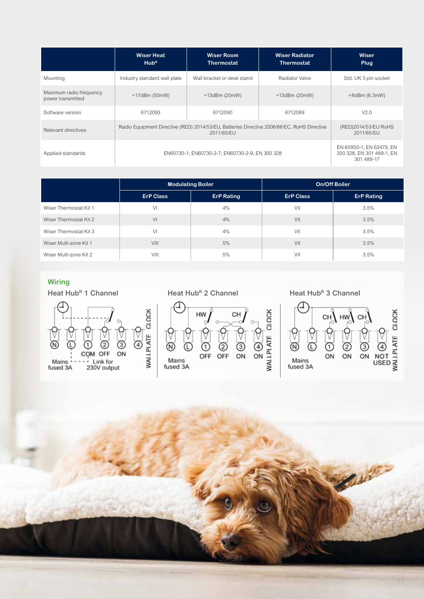|                                              | <b>Wiser Heat</b><br>Hub <sup>R</sup>                                                                    | <b>Wiser Room</b><br><b>Thermostat</b> | <b>Wiser Radiator</b><br><b>Thermostat</b> | Wiser<br><b>Plug</b>                                                |
|----------------------------------------------|----------------------------------------------------------------------------------------------------------|----------------------------------------|--------------------------------------------|---------------------------------------------------------------------|
| Mounting                                     | Industry standard wall plate                                                                             | Wall bracket or desk stand             | Radiator Valve                             | Std. UK 3 pin socket                                                |
| Maximum radio frequency<br>power transmitted | $+17$ dBm (50mW)                                                                                         | $+13$ dBm (20mW)                       | $+13$ dBm (20mW)                           | $+8d$ Bm (6.3mW)                                                    |
| Software version                             | 6712093                                                                                                  | 6712090                                | 6712089                                    | V2.0                                                                |
| Relevant directives                          | Radio Equipment Directive (RED) 2014/53/EU, Batteries Directive 2006/66/EC, RoHS Directive<br>2011/65/EU |                                        |                                            | (RED)2014/53/EU RoHS<br>2011/65/EU                                  |
| Applied standards                            | EN60730-1; EN60730-2-7; EN60730-2-9, EN 300 328                                                          |                                        |                                            | EN 60950-1, EN 62479, EN<br>300 328, EN 301 489-1, EN<br>301 489-17 |

|                        | <b>Modulating Boiler</b> |                   | <b>On/Off Boiler</b> |                   |
|------------------------|--------------------------|-------------------|----------------------|-------------------|
|                        | <b>ErP Class</b>         | <b>ErP Rating</b> | <b>ErP Class</b>     | <b>ErP Rating</b> |
| Wiser Thermostat Kit 1 | VI                       | 4%                | VII                  | 3.5%              |
| Wiser Thermostat Kit 2 | V <sub>1</sub>           | 4%                | VII                  | 3.5%              |
| Wiser Thermostat Kit 3 | VI                       | 4%                | VII                  | 3.5%              |
| Wiser Multi-zone Kit 1 | VIII                     | 5%                | VII                  | 3.5%              |
| Wiser Multi-zone Kit 2 | VIII                     | 5%                | VII                  | 3.5%              |

#### **Wiring**





Heat Hub<sup>R</sup> 2 Channel Heat Hub<sup>R</sup> 3 Channel



**Slanting**